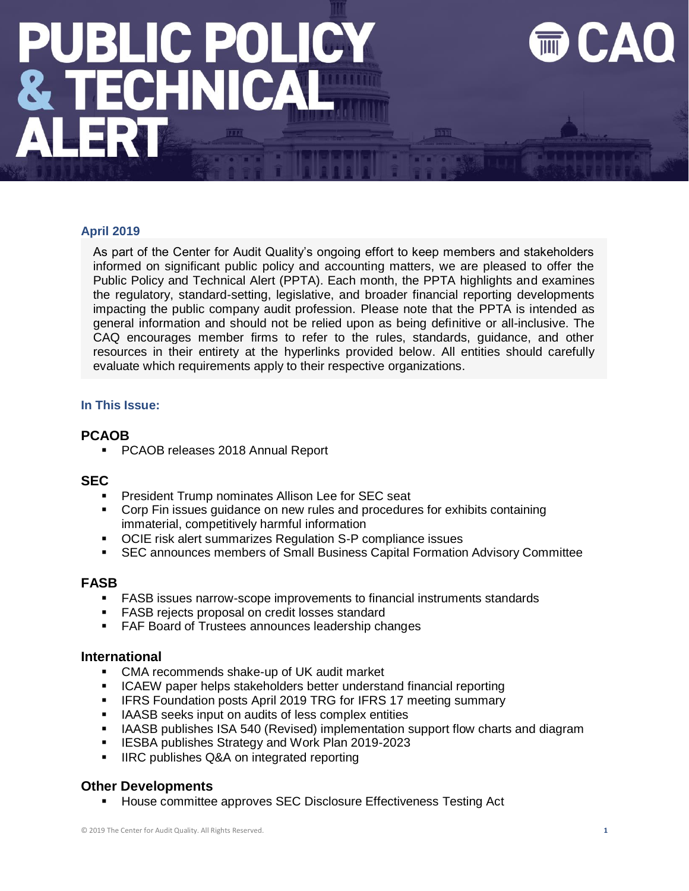### <u>JBLIC POLIC</u> **ECHNI**

### **April 2019**

As part of the Center for Audit Quality's ongoing effort to keep members and stakeholders informed on significant public policy and accounting matters, we are pleased to offer the Public Policy and Technical Alert (PPTA). Each month, the PPTA highlights and examines the regulatory, standard-setting, legislative, and broader financial reporting developments impacting the public company audit profession. Please note that the PPTA is intended as general information and should not be relied upon as being definitive or all-inclusive. The CAQ encourages member firms to refer to the rules, standards, guidance, and other resources in their entirety at the hyperlinks provided below. All entities should carefully evaluate which requirements apply to their respective organizations.

### **In This Issue:**

### **PCAOB**

■ PCAOB releases 2018 Annual Report

### **SEC**

- President Trump nominates Allison Lee for SEC seat
- Corp Fin issues guidance on new rules and procedures for exhibits containing immaterial, competitively harmful information
- OCIE risk alert summarizes Regulation S-P compliance issues
- SEC announces members of Small Business Capital Formation Advisory Committee

### **FASB**

- **FASB issues narrow-scope improvements to financial instruments standards**
- FASB rejects proposal on credit losses standard
- FAF Board of Trustees announces leadership changes

### **International**

- CMA recommends shake-up of UK audit market
- ICAEW paper helps stakeholders better understand financial reporting
- **IFRS Foundation posts April 2019 TRG for IFRS 17 meeting summary**
- IAASB seeks input on audits of less complex entities
- **■** IAASB publishes ISA 540 (Revised) implementation support flow charts and diagram
- IESBA publishes Strategy and Work Plan 2019-2023
- IIRC publishes Q&A on integrated reporting

### **Other Developments**

House committee approves SEC Disclosure Effectiveness Testing Act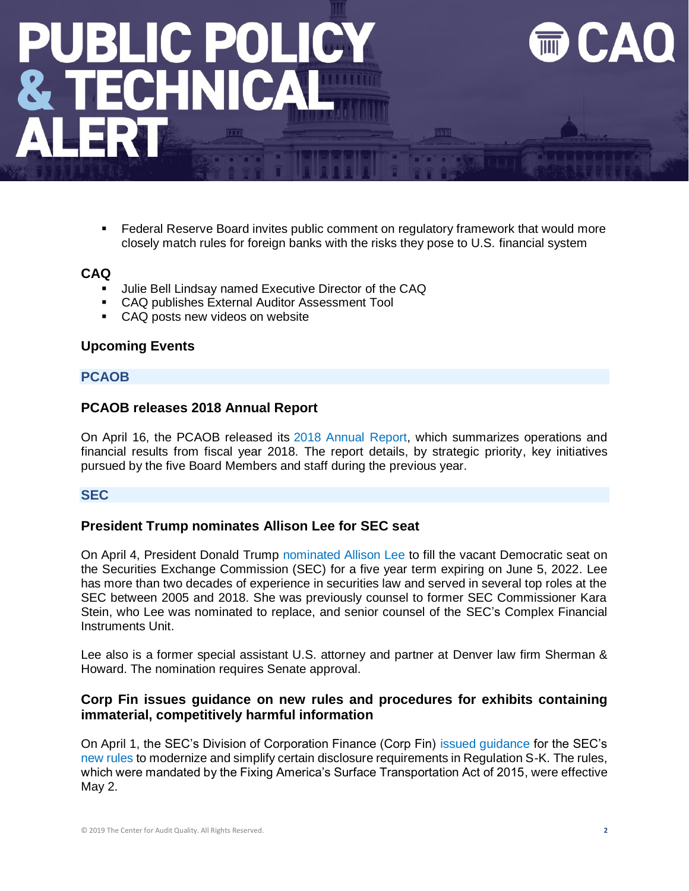### **JBLIC POLIC ECHNI**

■ Federal Reserve Board invites public comment on regulatory framework that would more closely match rules for foreign banks with the risks they pose to U.S. financial system

### **CAQ**

- Julie Bell Lindsay named Executive Director of the CAQ
- CAQ publishes External Auditor Assessment Tool
- CAQ posts new videos on website

### **Upcoming Events**

### **PCAOB**

### **PCAOB releases 2018 Annual Report**

On April 16, the PCAOB released its [2018 Annual Report,](http://caq.informz.net/z/cjUucD9taT04NDc3Njk4JnA9MSZ1PTEwNzgwNzMxNTkmbGk9NjQ5NjUxOTY/index.html) which summarizes operations and financial results from fiscal year 2018. The report details, by strategic priority, key initiatives pursued by the five Board Members and staff during the previous year.

### **SEC**

### **President Trump nominates Allison Lee for SEC seat**

On April 4, President Donald Trump [nominated Allison Lee](https://www.whitehouse.gov/presidential-actions/nine-nominations-sent-senate-3/) to fill the vacant Democratic seat on the Securities Exchange Commission (SEC) for a five year term expiring on June 5, 2022. Lee has more than two decades of experience in securities law and served in several top roles at the SEC between 2005 and 2018. She was previously counsel to former SEC Commissioner Kara Stein, who Lee was nominated to replace, and senior counsel of the SEC's Complex Financial Instruments Unit.

Lee also is a former special assistant U.S. attorney and partner at Denver law firm Sherman & Howard. The nomination requires Senate approval.

### **Corp Fin issues guidance on new rules and procedures for exhibits containing immaterial, competitively harmful information**

On April 1, the SEC's Division of Corporation Finance (Corp Fin) [issued guidance](https://www.sec.gov/corpfin/announcement/new-rules-and-procedures-exhibits-containing-immaterial) for the SEC's [new rules](https://www.sec.gov/rules/final/2019/33-10618.pdf) to modernize and simplify certain disclosure requirements in Regulation S-K. The rules, which were mandated by the Fixing America's Surface Transportation Act of 2015, were effective May 2.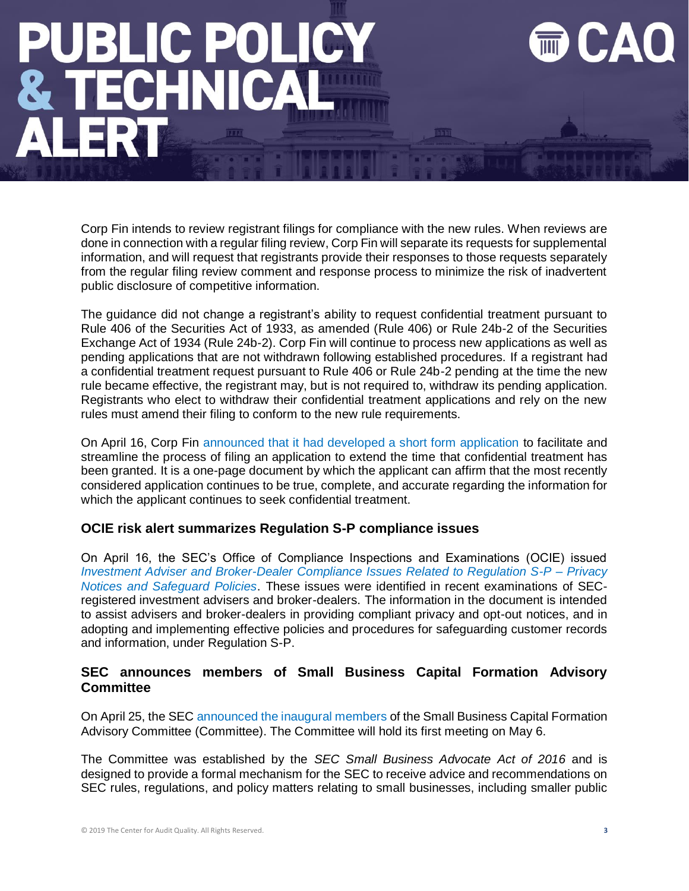## **BLIC POLI INI**

Corp Fin intends to review registrant filings for compliance with the new rules. When reviews are done in connection with a regular filing review, Corp Fin will separate its requests for supplemental information, and will request that registrants provide their responses to those requests separately from the regular filing review comment and response process to minimize the risk of inadvertent public disclosure of competitive information.

The guidance did not change a registrant's ability to request confidential treatment pursuant to Rule 406 of the Securities Act of 1933, as amended (Rule 406) or Rule 24b-2 of the Securities Exchange Act of 1934 (Rule 24b-2). Corp Fin will continue to process new applications as well as pending applications that are not withdrawn following established procedures. If a registrant had a confidential treatment request pursuant to Rule 406 or Rule 24b-2 pending at the time the new rule became effective, the registrant may, but is not required to, withdraw its pending application. Registrants who elect to withdraw their confidential treatment applications and rely on the new rules must amend their filing to conform to the new rule requirements.

On April 16, Corp Fin [announced that it had developed a short form application](https://www.sec.gov/corpfin/streamlined-procedure-confidential-treatment-extensions) to facilitate and streamline the process of filing an application to extend the time that confidential treatment has been granted. It is a one-page document by which the applicant can affirm that the most recently considered application continues to be true, complete, and accurate regarding the information for which the applicant continues to seek confidential treatment.

### **OCIE risk alert summarizes Regulation S-P compliance issues**

On April 16, the SEC's Office of Compliance Inspections and Examinations (OCIE) issued *[Investment Adviser and Broker-Dealer Compliance Issues Related to Regulation S-P –](https://www.sec.gov/files/OCIE%20Risk%20Alert%20-%20Regulation%20S-P.pdf) Privacy [Notices and Safeguard Policies](https://www.sec.gov/files/OCIE%20Risk%20Alert%20-%20Regulation%20S-P.pdf)*. These issues were identified in recent examinations of SECregistered investment advisers and broker-dealers. The information in the document is intended to assist advisers and broker-dealers in providing compliant privacy and opt-out notices, and in adopting and implementing effective policies and procedures for safeguarding customer records and information, under Regulation S-P.

### **SEC announces members of Small Business Capital Formation Advisory Committee**

On April 25, the SEC [announced the inaugural members](https://www.sec.gov/news/press-release/2019-61) of the Small Business Capital Formation Advisory Committee (Committee). The Committee will hold its first meeting on May 6.

The Committee was established by the *SEC Small Business Advocate Act of 2016* and is designed to provide a formal mechanism for the SEC to receive advice and recommendations on SEC rules, regulations, and policy matters relating to small businesses, including smaller public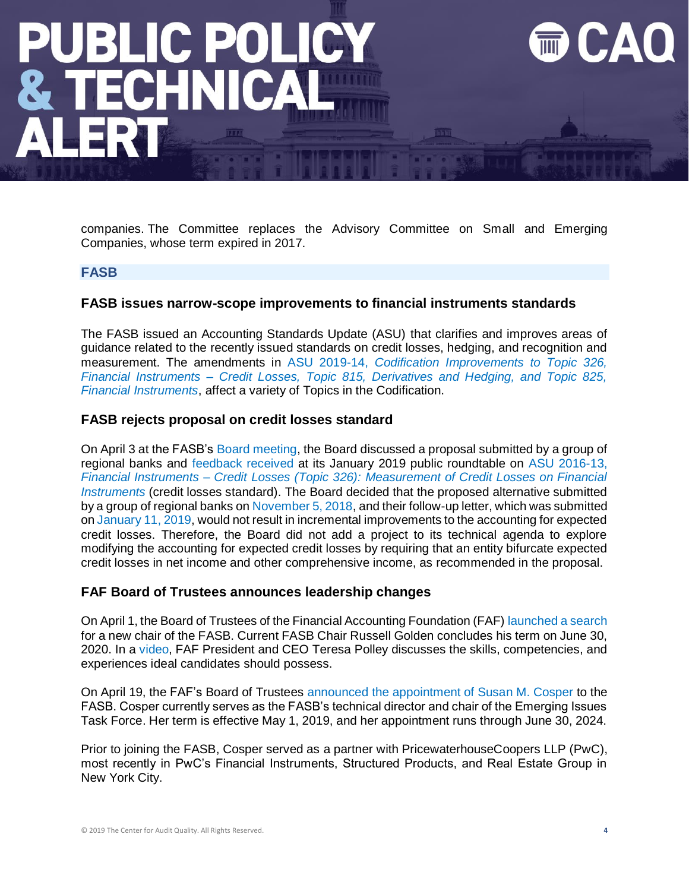# **BLIC POLI**

companies. The Committee replaces the Advisory Committee on Small and Emerging Companies, whose term expired in 2017.

### **FASB**

### **FASB issues narrow-scope improvements to financial instruments standards**

The FASB issued an Accounting Standards Update (ASU) that clarifies and improves areas of guidance related to the recently issued standards on credit losses, hedging, and recognition and measurement. The amendments in ASU 2019-14, *[Codification Improvements to Topic 326,](https://fasb.org/cs/ContentServer?c=FASBContent_C&cid=1176172542309&d=&pagename=FASB%2FFASBContent_C%2FNewsPage)  Financial Instruments – [Credit Losses, Topic 815, Derivatives and Hedging, and Topic 825,](https://fasb.org/cs/ContentServer?c=FASBContent_C&cid=1176172542309&d=&pagename=FASB%2FFASBContent_C%2FNewsPage)  [Financial Instruments](https://fasb.org/cs/ContentServer?c=FASBContent_C&cid=1176172542309&d=&pagename=FASB%2FFASBContent_C%2FNewsPage)*, affect a variety of Topics in the Codification.

### **FASB rejects proposal on credit losses standard**

On April 3 at the FASB's [Board meeting,](https://fasb.org/cs/Satellite?c=FASBContent_C&cid=1176172426482&pagename=FASB%2FFASBContent_C%2FActionAlertPage) the Board discussed a proposal submitted by a group of regional banks and [feedback received](https://www.fasb.org/cs/ContentServer?c=Document_C&pagename=FASB%2FDocument_C%2FDocumentPage&cid=1176172097063) at its January 2019 public roundtable on [ASU 2016-13,](https://www.fasb.org/jsp/FASB/Document_C/DocumentPage?cid=1176168232528&acceptedDisclaimer=tru)  *Financial Instruments – [Credit Losses \(Topic 326\): Measurement of Credit Losses on Financial](https://www.fasb.org/jsp/FASB/Document_C/DocumentPage?cid=1176168232528&acceptedDisclaimer=tru)  [Instruments](https://www.fasb.org/jsp/FASB/Document_C/DocumentPage?cid=1176168232528&acceptedDisclaimer=tru)* (credit losses standard). The Board decided that the proposed alternative submitted by a group of regional banks on [November 5, 2018,](https://www.fasb.org/cs/BlobServer?blobkey=id&blobnocache=true&blobwhere=1175835943435&blobheader=application%2Fpdf&blobheadername2=Content-Length&blobheadername1=Content-Disposition&blobheadervalue2=936802&blobheadervalue1=filename%3DAR-2018.UNS.021.FINANCIAL_INSTITUTIONS_SEE_LISTED.pdf&blobcol=urldata&blobtable=MungoBlobs) and their follow-up letter, which was submitted o[n January 11, 2019,](https://www.fasb.org/cs/BlobServer?blobkey=id&blobnocache=true&blobwhere=1175835962502&blobheader=application%2Fpdf&blobheadername2=Content-Length&blobheadername1=Content-Disposition&blobheadervalue2=567651&blobheadervalue1=filename%3DAR-2018.UNS.021A.FINANCIAL_INSTITUTIONS_SEE_LISTED.pdf&blobcol=urldata&blobtable=MungoBlobs) would not result in incremental improvements to the accounting for expected credit losses. Therefore, the Board did not add a project to its technical agenda to explore modifying the accounting for expected credit losses by requiring that an entity bifurcate expected credit losses in net income and other comprehensive income, as recommended in the proposal.

### **FAF Board of Trustees announces leadership changes**

On April 1, the Board of Trustees of the Financial Accounting Foundation (FAF) [launched a search](https://www.accountingfoundation.org/cs/Satellite?c=FAFContent_C&cid=1176172410995&pagename=Foundation%2FFAFContent_C%2FFAFNewsPage) for a new chair of the FASB. Current FASB Chair Russell Golden concludes his term on June 30, 2020. In a [video,](https://www.youtube.com/watch?v=LO4F3BE4Uik&feature=youtu.be) FAF President and CEO Teresa Polley discusses the skills, competencies, and experiences ideal candidates should possess.

On April 19, the FAF's Board of Trustees [announced the appointment of Susan M. Cosper](http://caq.informz.net/z/cjUucD9taT04NDg1MTM5JnA9MSZ1PTEwNzgwNzMxNTkmbGk9NjUwNTU0NjU/index.html) to the FASB. Cosper currently serves as the FASB's technical director and chair of the Emerging Issues Task Force. Her term is effective May 1, 2019, and her appointment runs through June 30, 2024.

Prior to joining the FASB, Cosper served as a partner with PricewaterhouseCoopers LLP (PwC), most recently in PwC's Financial Instruments, Structured Products, and Real Estate Group in New York City.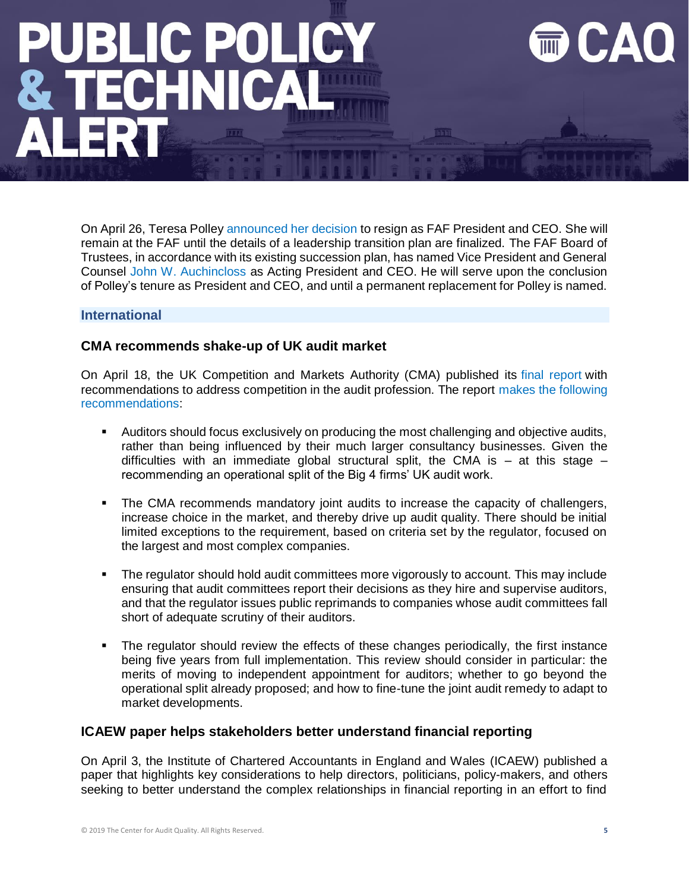### **BLIC POLI** 1N

On April 26, Teresa Polley [announced her decision](https://accountingfoundation.org/cs/Satellite?c=FAFContent_C&cid=1176172557453&pagename=Foundation%2FFAFContent_C%2FFAFNewsPage) to resign as FAF President and CEO. She will remain at the FAF until the details of a leadership transition plan are finalized. The FAF Board of Trustees, in accordance with its existing succession plan, has named Vice President and General Counsel [John W. Auchincloss](https://accountingfoundation.org/cs/Satellite?c=FAFContent_C&cid=1176168187660&pagename=Foundation%2FFAFContent_C%2FGeneralContentDisplay) as Acting President and CEO. He will serve upon the conclusion of Polley's tenure as President and CEO, and until a permanent replacement for Polley is named.

### **International**

### **CMA recommends shake-up of UK audit market**

On April 18, the UK Competition and Markets Authority (CMA) published its [final report](http://caq.informz.net/z/cjUucD9taT04NDgxMTM1JnA9MSZ1PTEwNzgwNzMxNTkmbGk9NjUwMDYyNDU/index.html) with recommendations to address competition in the audit profession. The report [makes the following](http://caq.informz.net/z/cjUucD9taT04NDgxMTM1JnA9MSZ1PTEwNzgwNzMxNTkmbGk9NjUwMDYyNDY/index.html)  [recommendations:](http://caq.informz.net/z/cjUucD9taT04NDgxMTM1JnA9MSZ1PTEwNzgwNzMxNTkmbGk9NjUwMDYyNDY/index.html)

- Auditors should focus exclusively on producing the most challenging and objective audits, rather than being influenced by their much larger consultancy businesses. Given the difficulties with an immediate global structural split, the CMA is  $-$  at this stage  $$ recommending an operational split of the Big 4 firms' UK audit work.
- The CMA recommends mandatory joint audits to increase the capacity of challengers, increase choice in the market, and thereby drive up audit quality. There should be initial limited exceptions to the requirement, based on criteria set by the regulator, focused on the largest and most complex companies.
- The regulator should hold audit committees more vigorously to account. This may include ensuring that audit committees report their decisions as they hire and supervise auditors, and that the regulator issues public reprimands to companies whose audit committees fall short of adequate scrutiny of their auditors.
- The regulator should review the effects of these changes periodically, the first instance being five years from full implementation. This review should consider in particular: the merits of moving to independent appointment for auditors; whether to go beyond the operational split already proposed; and how to fine-tune the joint audit remedy to adapt to market developments.

### **ICAEW paper helps stakeholders better understand financial reporting**

On April 3, the Institute of Chartered Accountants in England and Wales (ICAEW) published a paper that highlights key considerations to help directors, politicians, policy-makers, and others seeking to better understand the complex relationships in financial reporting in an effort to find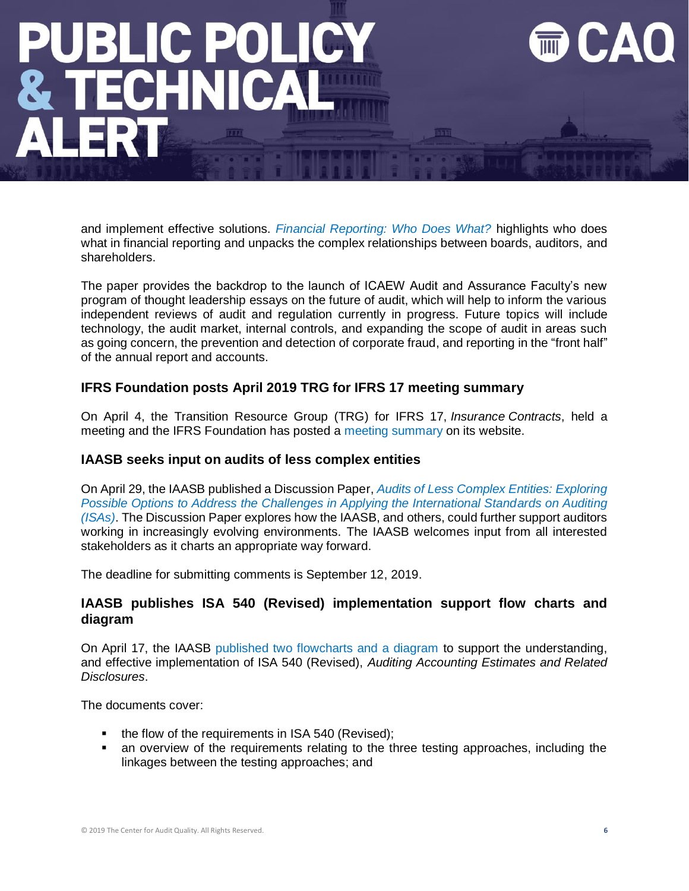## **BLIC POLI**

and implement effective solutions. *[Financial Reporting: Who Does What?](https://www.icaew.com/about-icaew/news/press-release-archive/2019-press-releases/financial-reporting-system-a-bewildering-mess-says-icaew)* highlights who does what in financial reporting and unpacks the complex relationships between boards, auditors, and shareholders.

The paper provides the backdrop to the launch of ICAEW Audit and Assurance Faculty's new program of thought leadership essays on the future of audit, which will help to inform the various independent reviews of audit and regulation currently in progress. Future topics will include technology, the audit market, internal controls, and expanding the scope of audit in areas such as going concern, the prevention and detection of corporate fraud, and reporting in the "front half" of the annual report and accounts.

### **IFRS Foundation posts April 2019 TRG for IFRS 17 meeting summary**

On April 4, the Transition Resource Group (TRG) for IFRS 17, *Insurance Contracts*, held a meeting and the IFRS Foundation has posted a [meeting summary](https://www.ifrs.org/-/media/feature/meetings/2019/april/trg-for-ifrs-17/trg-for-ifrs-17-meeting-summary-april-2019.pdf) on its website.

### **IAASB seeks input on audits of less complex entities**

On April 29, the IAASB published a Discussion Paper, *[Audits of Less Complex Entities: Exploring](http://www.ifac.org/publications-resources/discussion-paper-audits-less-complex-entities)  Possible Options to Address the Challenges in Applying the International Standards on Auditing [\(ISAs\)](http://www.ifac.org/publications-resources/discussion-paper-audits-less-complex-entities)*. The Discussion Paper explores how the IAASB, and others, could further support auditors working in increasingly evolving environments. The IAASB welcomes input from all interested stakeholders as it charts an appropriate way forward.

The deadline for submitting comments is September 12, 2019.

### **IAASB publishes ISA 540 (Revised) implementation support flow charts and diagram**

On April 17, the IAASB [published two flowcharts and a diagram](http://www.ifac.org/publications-resources/isa-540-revised-implementation-support-flow-charts-and-diagram) to support the understanding, and effective implementation of ISA 540 (Revised), *Auditing Accounting Estimates and Related Disclosures*.

The documents cover:

- the flow of the requirements in ISA 540 (Revised);
- an overview of the requirements relating to the three testing approaches, including the linkages between the testing approaches; and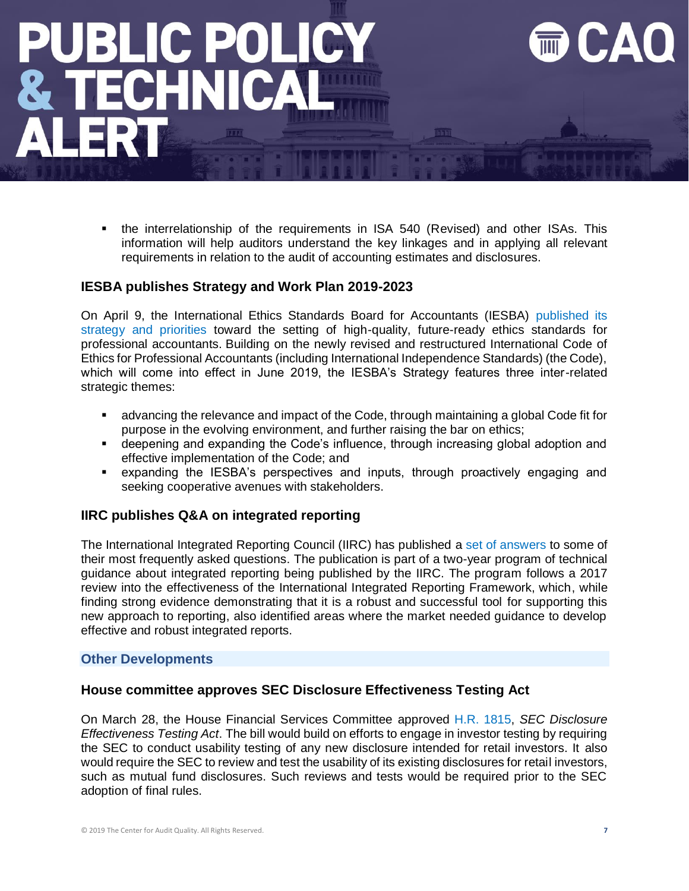# **LIC POLI**

the interrelationship of the requirements in ISA 540 (Revised) and other ISAs. This information will help auditors understand the key linkages and in applying all relevant requirements in relation to the audit of accounting estimates and disclosures.

### **IESBA publishes Strategy and Work Plan 2019-2023**

On April 9, the International Ethics Standards Board for Accountants (IESBA) [published its](http://www.ifac.org/publications-resources/iesba-strategy-and-work-plan-2019-2023)  [strategy and priorities](http://www.ifac.org/publications-resources/iesba-strategy-and-work-plan-2019-2023) toward the setting of high-quality, future-ready ethics standards for professional accountants. Building on the newly revised and restructured International Code of Ethics for Professional Accountants (including International Independence Standards) (the Code), which will come into effect in June 2019, the IESBA's Strategy features three inter-related strategic themes:

- advancing the relevance and impact of the Code, through maintaining a global Code fit for purpose in the evolving environment, and further raising the bar on ethics;
- **•** deepening and expanding the Code's influence, through increasing global adoption and effective implementation of the Code; and
- expanding the IESBA's perspectives and inputs, through proactively engaging and seeking cooperative avenues with stakeholders.

### **IIRC publishes Q&A on integrated reporting**

The International Integrated Reporting Council (IIRC) has published a [set of answers](http://integratedreporting.org/faqs/) to some of their most frequently asked questions. The publication is part of a two-year program of technical guidance about integrated reporting being published by the IIRC. The program follows a 2017 review into the effectiveness of the International Integrated Reporting Framework, which, while finding strong evidence demonstrating that it is a robust and successful tool for supporting this new approach to reporting, also identified areas where the market needed guidance to develop effective and robust integrated reports.

### **Other Developments**

### **House committee approves SEC Disclosure Effectiveness Testing Act**

On March 28, the House Financial Services Committee approved H.R. [1815,](https://www.congress.gov/116/bills/hr1815/BILLS-116hr1815ih.pdf) *SEC Disclosure Effectiveness Testing Act*. The bill would build on efforts to engage in investor testing by requiring the SEC to conduct usability testing of any new disclosure intended for retail investors. It also would require the SEC to review and test the usability of its existing disclosures for retail investors, such as mutual fund disclosures. Such reviews and tests would be required prior to the SEC adoption of final rules.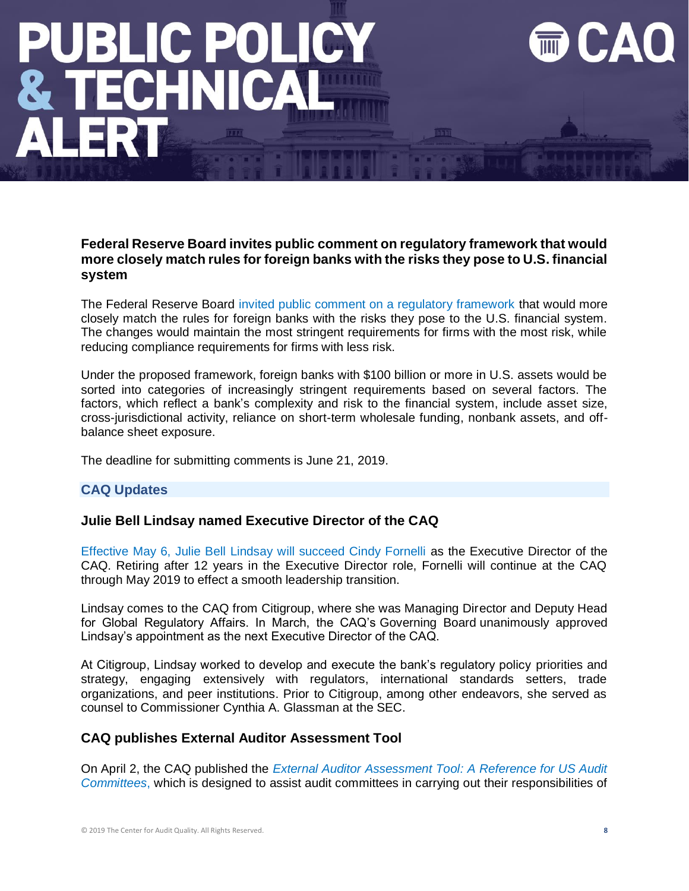## **JBLIC POLIC** ECHNI

### **Federal Reserve Board invites public comment on regulatory framework that would more closely match rules for foreign banks with the risks they pose to U.S. financial system**

The Federal Reserve Board [invited public comment on a regulatory framework](https://www.federalreserve.gov/newsevents/pressreleases/bcreg20190408a.htm) that would more closely match the rules for foreign banks with the risks they pose to the U.S. financial system. The changes would maintain the most stringent requirements for firms with the most risk, while reducing compliance requirements for firms with less risk.

Under the proposed framework, foreign banks with \$100 billion or more in U.S. assets would be sorted into categories of increasingly stringent requirements based on several factors. The factors, which reflect a bank's complexity and risk to the financial system, include asset size, cross-jurisdictional activity, reliance on short-term wholesale funding, nonbank assets, and offbalance sheet exposure.

The deadline for submitting comments is June 21, 2019.

### **CAQ Updates**

### **Julie Bell Lindsay named Executive Director of the CAQ**

Effective May 6, [Julie Bell Lindsay will succeed Cindy Fornelli](https://www.thecaq.org/news/julie-bell-lindsay-named-executive-director-of-the-center-for-audit-quality/) as the Executive Director of the CAQ. Retiring after 12 years in the Executive Director role, Fornelli will continue at the CAQ through May 2019 to effect a smooth leadership transition.

Lindsay comes to the CAQ from Citigroup, where she was Managing Director and Deputy Head for Global Regulatory Affairs. In March, the CAQ's Governing Board unanimously approved Lindsay's appointment as the next Executive Director of the CAQ.

At Citigroup, Lindsay worked to develop and execute the bank's regulatory policy priorities and strategy, engaging extensively with regulators, international standards setters, trade organizations, and peer institutions. Prior to Citigroup, among other endeavors, she served as counsel to Commissioner Cynthia A. Glassman at the SEC.

### **CAQ publishes External Auditor Assessment Tool**

On April 2, the CAQ published the *[External Auditor Assessment Tool: A Reference for US Audit](https://www.thecaq.org/external-auditor-assessment-tool-a-reference-for-us-audit-committees/)  [Committees](https://www.thecaq.org/external-auditor-assessment-tool-a-reference-for-us-audit-committees/)*, which is designed to assist audit committees in carrying out their responsibilities of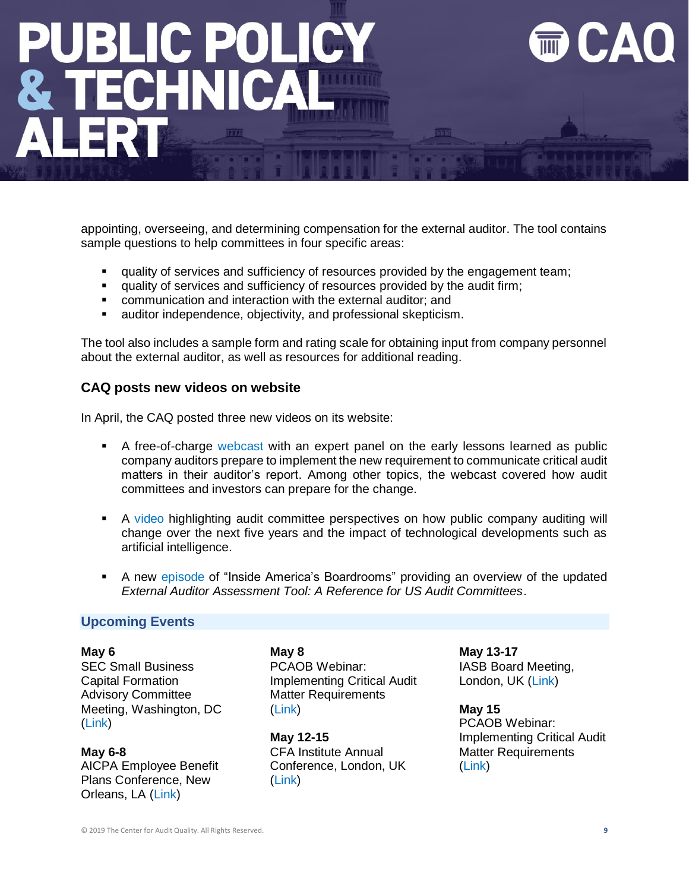## **UBLIC POLIC<br>ATECHNICAL**

appointing, overseeing, and determining compensation for the external auditor. The tool contains sample questions to help committees in four specific areas:

- **EXEDENT** quality of services and sufficiency of resources provided by the engagement team;
- quality of services and sufficiency of resources provided by the audit firm;
- communication and interaction with the external auditor; and
- auditor independence, objectivity, and professional skepticism.

The tool also includes a sample form and rating scale for obtaining input from company personnel about the external auditor, as well as resources for additional reading.

### **CAQ posts new videos on website**

In April, the CAQ posted three new videos on its website:

- **E** A free-of-charge [webcast](https://www.thecaq.org/register-now-for-april-1-webcast-on-critical-audit-matters/) with an expert panel on the early lessons learned as public company auditors prepare to implement the new requirement to communicate critical audit matters in their auditor's report. Among other topics, the webcast covered how audit committees and investors can prepare for the change.
- **•** A [video](https://www.thecaq.org/evolution-in-auditing/) highlighting audit committee perspectives on how public company auditing will change over the next five years and the impact of technological developments such as artificial intelligence.
- **A new [episode](https://www.thecaq.org/evaluating-the-external-auditor/) of "Inside America's Boardrooms" providing an overview of the updated** *External Auditor Assessment Tool: A Reference for US Audit Committees*.

### **Upcoming Events**

**May 6**

SEC Small Business Capital Formation Advisory Committee Meeting, Washington, DC [\(Link\)](https://www.sec.gov/news/upcoming-events/sbcfac-050619)

**May 6-8** AICPA Employee Benefit Plans Conference, New Orleans, LA [\(Link\)](https://www.aicpastore.com/EmployeeBenefitPlans/aicpa-employee-benefit-plans-conference/PRDOVR~PC-EMPBEN/PC-EMPBEN.jsp)

**May 8** PCAOB Webinar: Implementing Critical Audit Matter Requirements [\(Link\)](https://pcaobus.org/News/Events/Pages/05082019-CAM-webinar.aspx)

**May 12-15** CFA Institute Annual Conference, London, UK [\(Link\)](https://www.cfainstitute.org/en/events/conferences/annual-2019)

**May 13-17** IASB Board Meeting, London, UK [\(Link\)](https://www.ifrs.org/news-and-events/calendar/2019/may/international-accounting-standards-board/)

**May 15** PCAOB Webinar: Implementing Critical Audit Matter Requirements [\(Link\)](https://pcaobus.org/News/Events/Pages/05252019-CAM-webinar.aspx)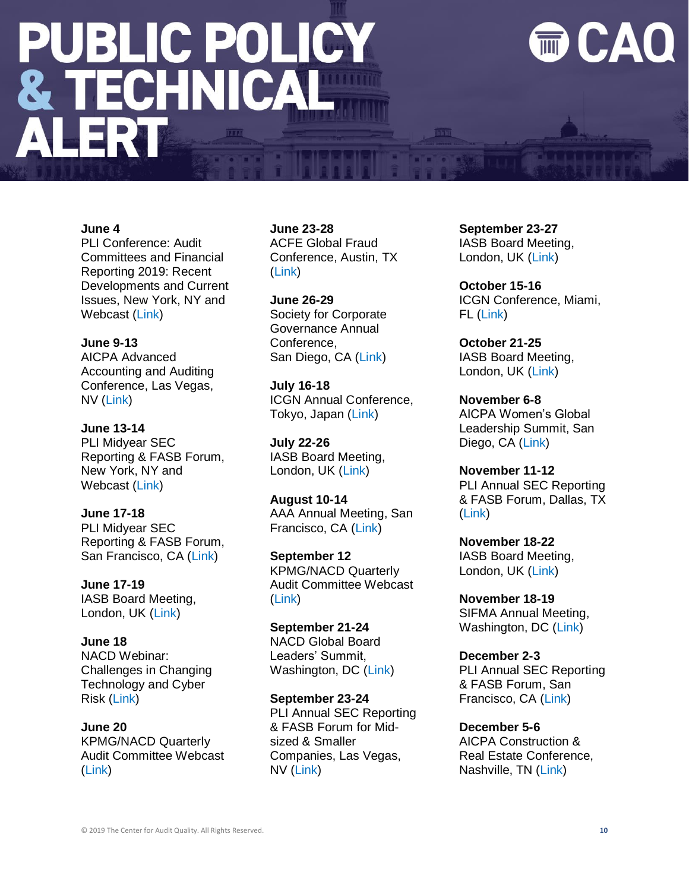# **PUBLIC POLICY<br>& TECHNICAL<br>ALERT**

### CAO

### **June 4**

PLI Conference: Audit Committees and Financial Reporting 2019: Recent Developments and Current Issues, New York, NY and Webcast [\(Link\)](https://www.pli.edu/programs/audit-committees-and-financial-reporting)

**June 9-13** AICPA Advanced Accounting and Auditing Conference, Las Vegas, NV [\(Link\)](https://www.aicpastore.com/AuditAttest/advanced-accounting-and-auditing-conference--naaat/PRDOVR~PC-NAA/PC-NAA.jsp)

**June 13-14** PLI Midyear SEC Reporting & FASB Forum, New York, NY and Webcast [\(Link\)](https://www.pli.edu/Content/Seminar/34th_Midyear_SEC_Reporting_FASB_Forum/_/N-4kZ1z0zgmm?ID=348111)

**June 17-18**

PLI Midyear SEC Reporting & FASB Forum, San Francisco, CA [\(Link\)](https://www.pli.edu/Content/Seminar/34th_Midyear_SEC_Reporting_FASB_Forum/_/N-4kZ1z0zgmm?ID=348111)

**June 17-19** IASB Board Meeting, London, UK [\(Link\)](https://www.ifrs.org/news-and-events/calendar/2019/june/international-accounting-standards-board/)

### **June 18**

NACD Webinar: Challenges in Changing Technology and Cyber Risk [\(Link\)](https://www.nacdonline.org/events/detail.cfm?itemnumber=65038)

**June 20**

KPMG/NACD Quarterly Audit Committee Webcast [\(Link\)](https://www.nacdonline.org/events/detail.cfm?itemnumber=64700)

**June 23-28** ACFE Global Fraud Conference, Austin, TX [\(Link\)](https://www.fraudconference.com/30annual/sessions.aspx)

**June 26-29** Society for Corporate Governance Annual Conference, San Diego, CA [\(Link\)](https://www.societycorpgov.org/events/2019nationalconference/registration)

**July 16-18** ICGN Annual Conference, Tokyo, Japan [\(Link\)](https://www.icgn.org/events/icgn-2019-annual-conference-tokyo)

**July 22-26** IASB Board Meeting, London, UK [\(Link\)](https://www.ifrs.org/news-and-events/calendar/2019/july/international-accounting-standards-board/)

**August 10-14** AAA Annual Meeting, San Francisco, CA [\(Link\)](http://aaahq.org/Meetings/2019/Annual-Meeting)

**September 12** KPMG/NACD Quarterly Audit Committee Webcast [\(Link\)](https://www.nacdonline.org/events/detail.cfm?itemnumber=64701)

**September 21-24** NACD Global Board Leaders' Summit, Washington, DC [\(Link\)](https://www.nacdonline.org/summit/#/)

**September 23-24** PLI Annual SEC Reporting & FASB Forum for Midsized & Smaller Companies, Las Vegas, NV [\(Link\)](https://www.pli.edu/Content/Seminar/15th_Annual_SEC_Reporting_FASB_Forum_for/_/N-4kZ1z0zgpe?ID=347900)

**September 23-27** IASB Board Meeting, London, UK [\(Link\)](https://www.ifrs.org/news-and-events/calendar/2019/september/international-accounting-standards-board/)

**October 15-16** ICGN Conference, Miami, FL [\(Link\)](https://www.icgn.org/events/icgn-miami-conference)

**October 21-25** IASB Board Meeting, London, UK [\(Link\)](https://www.ifrs.org/news-and-events/calendar/2019/october/international-accounting-standards-board/)

**November 6-8** AICPA Women's Global Leadership Summit, San Diego, CA [\(Link\)](https://www.aicpastore.com/NotforProfit/aicpa-women-s-global-leadership-summit/PRDOVR~PC-WOM/PC-WOM.jsp)

**November 11-12** PLI Annual SEC Reporting & FASB Forum, Dallas, TX [\(Link\)](https://www.pli.edu/Content/Seminar/35th_Annual_SEC_Reporting_FASB_Forum/_/N-4kZ1z0zgpd?ID=347901)

**November 18-22** IASB Board Meeting, London, UK [\(Link\)](https://www.ifrs.org/news-and-events/calendar/2019/november/international-accounting-standards-board/)

**November 18-19** SIFMA Annual Meeting, Washington, DC [\(Link\)](https://www.sifma.org/event/sifma-annual-meeting/)

**December 2-3** PLI Annual SEC Reporting & FASB Forum, San Francisco, CA [\(Link\)](https://www.pli.edu/Content/Seminar/35th_Annual_SEC_Reporting_FASB_Forum/_/N-4kZ1z0zgpd?ID=347901)

**December 5-6** AICPA Construction & Real Estate Conference, Nashville, TN [\(Link\)](https://www.aicpastore.com/AuditAttest/IndustryspecificGuidance/Construction/aicpa-construction---real-estate-conference/PRDOVR~PC-COR/PC-COR.jsp)